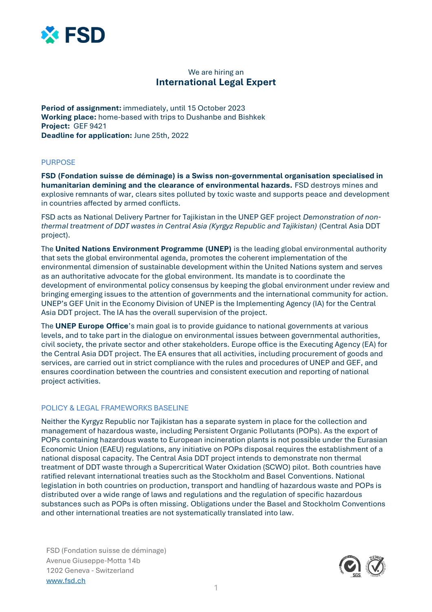

# We are hiring an **International Legal Expert**

**Period of assignment:** immediately, until 15 October 2023 **Working place:** home-based with trips to Dushanbe and Bishkek **Project:** GEF 9421 **Deadline for application:** June 25th, 2022

## PURPOSE

**FSD (Fondation suisse de déminage) is a Swiss non-governmental organisation specialised in humanitarian demining and the clearance of environmental hazards.** FSD destroys mines and explosive remnants of war, clears sites polluted by toxic waste and supports peace and development in countries affected by armed conflicts.

FSD acts as National Delivery Partner for Tajikistan in the UNEP GEF project *Demonstration of nonthermal treatment of DDT wastes in Central Asia (Kyrgyz Republic and Tajikistan)* (Central Asia DDT project).

The **United Nations Environment Programme (UNEP)** is the leading global environmental authority that sets the global environmental agenda, promotes the coherent implementation of the environmental dimension of sustainable development within the United Nations system and serves as an authoritative advocate for the global environment. Its mandate is to coordinate the development of environmental policy consensus by keeping the global environment under review and bringing emerging issues to the attention of governments and the international community for action. UNEP's GEF Unit in the Economy Division of UNEP is the Implementing Agency (IA) for the Central Asia DDT project. The IA has the overall supervision of the project.

The **UNEP Europe Office**'s main goal is to provide guidance to national governments at various levels, and to take part in the dialogue on environmental issues between governmental authorities, civil society, the private sector and other stakeholders. Europe office is the Executing Agency (EA) for the Central Asia DDT project. The EA ensures that all activities, including procurement of goods and services, are carried out in strict compliance with the rules and procedures of UNEP and GEF, and ensures coordination between the countries and consistent execution and reporting of national project activities.

## POLICY & LEGAL FRAMEWORKS BASELINE

Neither the Kyrgyz Republic nor Tajikistan has a separate system in place for the collection and management of hazardous waste, including Persistent Organic Pollutants (POPs). As the export of POPs containing hazardous waste to European incineration plants is not possible under the Eurasian Economic Union (EAEU) regulations, any initiative on POPs disposal requires the establishment of a national disposal capacity. The Central Asia DDT project intends to demonstrate non thermal treatment of DDT waste through a Supercritical Water Oxidation (SCWO) pilot. Both countries have ratified relevant international treaties such as the Stockholm and Basel Conventions. National legislation in both countries on production, transport and handling of hazardous waste and POPs is distributed over a wide range of laws and regulations and the regulation of specific hazardous substances such as POPs is often missing. Obligations under the Basel and Stockholm Conventions and other international treaties are not systematically translated into law.

FSD (Fondation suisse de déminage) Avenue Giuseppe-Motta 14b 1202 Geneva - Switzerland [www.fsd.ch](http://www.fsd.ch/)

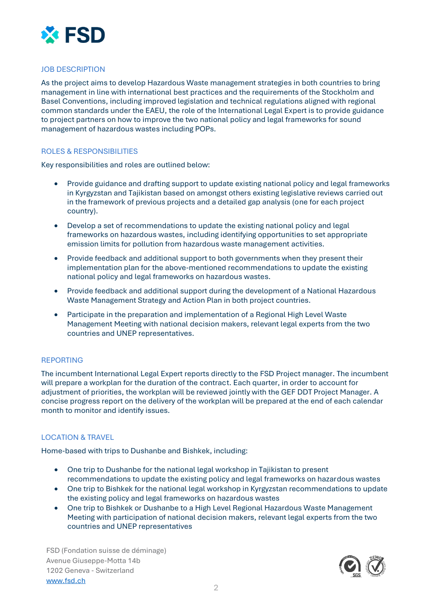

# JOB DESCRIPTION

As the project aims to develop Hazardous Waste management strategies in both countries to bring management in line with international best practices and the requirements of the Stockholm and Basel Conventions, including improved legislation and technical regulations aligned with regional common standards under the EAEU, the role of the International Legal Expert is to provide guidance to project partners on how to improve the two national policy and legal frameworks for sound management of hazardous wastes including POPs.

## ROLES & RESPONSIBILITIES

Key responsibilities and roles are outlined below:

- Provide guidance and drafting support to update existing national policy and legal frameworks in Kyrgyzstan and Tajikistan based on amongst others existing legislative reviews carried out in the framework of previous projects and a detailed gap analysis (one for each project country).
- Develop a set of recommendations to update the existing national policy and legal frameworks on hazardous wastes, including identifying opportunities to set appropriate emission limits for pollution from hazardous waste management activities.
- Provide feedback and additional support to both governments when they present their implementation plan for the above-mentioned recommendations to update the existing national policy and legal frameworks on hazardous wastes.
- Provide feedback and additional support during the development of a National Hazardous Waste Management Strategy and Action Plan in both project countries.
- Participate in the preparation and implementation of a Regional High Level Waste Management Meeting with national decision makers, relevant legal experts from the two countries and UNEP representatives.

## REPORTING

The incumbent International Legal Expert reports directly to the FSD Project manager. The incumbent will prepare a workplan for the duration of the contract. Each quarter, in order to account for adjustment of priorities, the workplan will be reviewed jointly with the GEF DDT Project Manager. A concise progress report on the delivery of the workplan will be prepared at the end of each calendar month to monitor and identify issues.

# LOCATION & TRAVEL

Home-based with trips to Dushanbe and Bishkek, including:

- One trip to Dushanbe for the national legal workshop in Tajikistan to present recommendations to update the existing policy and legal frameworks on hazardous wastes
- One trip to Bishkek for the national legal workshop in Kyrgyzstan recommendations to update the existing policy and legal frameworks on hazardous wastes
- One trip to Bishkek or Dushanbe to a High Level Regional Hazardous Waste Management Meeting with participation of national decision makers, relevant legal experts from the two countries and UNEP representatives

FSD (Fondation suisse de déminage) Avenue Giuseppe-Motta 14b 1202 Geneva - Switzerland [www.fsd.ch](http://www.fsd.ch/)